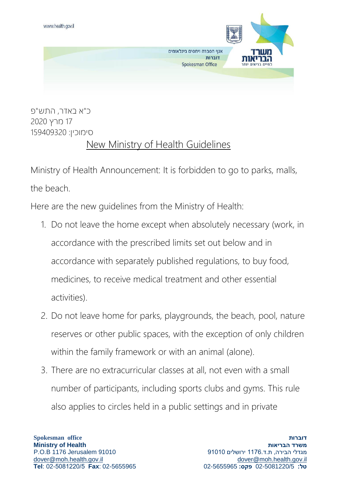

כ"א באדר, התש"פ 17 מרץ 2020 סימוכין: 159409320

## New Ministry of Health Guidelines

Ministry of Health Announcement: It is forbidden to go to parks, malls, the beach.

Here are the new guidelines from the Ministry of Health:

- 1. Do not leave the home except when absolutely necessary (work, in accordance with the prescribed limits set out below and in accordance with separately published regulations, to buy food, medicines, to receive medical treatment and other essential activities).
- 2. Do not leave home for parks, playgrounds, the beach, pool, nature reserves or other public spaces, with the exception of only children within the family framework or with an animal (alone).
- 3. There are no extracurricular classes at all, not even with a small number of participants, including sports clubs and gyms. This rule also applies to circles held in a public settings and in private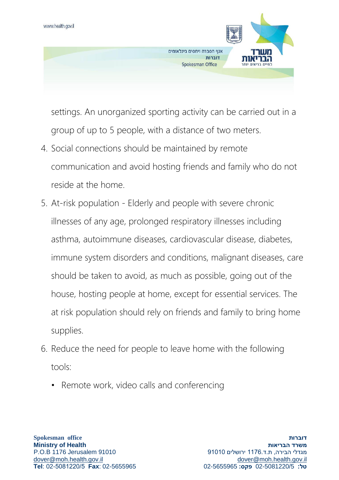

settings. An unorganized sporting activity can be carried out in a group of up to 5 people, with a distance of two meters.

- 4. Social connections should be maintained by remote communication and avoid hosting friends and family who do not reside at the home.
- 5. At-risk population Elderly and people with severe chronic illnesses of any age, prolonged respiratory illnesses including asthma, autoimmune diseases, cardiovascular disease, diabetes, immune system disorders and conditions, malignant diseases, care should be taken to avoid, as much as possible, going out of the house, hosting people at home, except for essential services. The at risk population should rely on friends and family to bring home supplies.
- 6. Reduce the need for people to leave home with the following tools:
	- Remote work, video calls and conferencing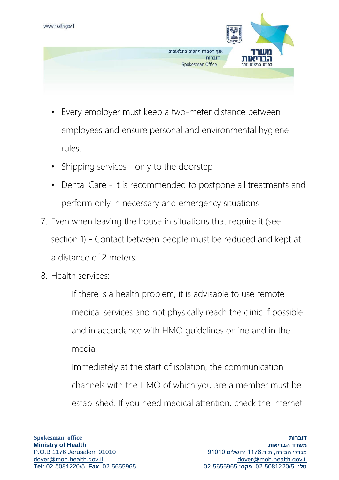

- Every employer must keep a two-meter distance between employees and ensure personal and environmental hygiene rules.
- Shipping services only to the doorstep
- Dental Care It is recommended to postpone all treatments and perform only in necessary and emergency situations
- 7. Even when leaving the house in situations that require it (see section 1) - Contact between people must be reduced and kept at a distance of 2 meters.
- 8. Health services:

If there is a health problem, it is advisable to use remote medical services and not physically reach the clinic if possible and in accordance with HMO guidelines online and in the media.

Immediately at the start of isolation, the communication channels with the HMO of which you are a member must be established. If you need medical attention, check the Internet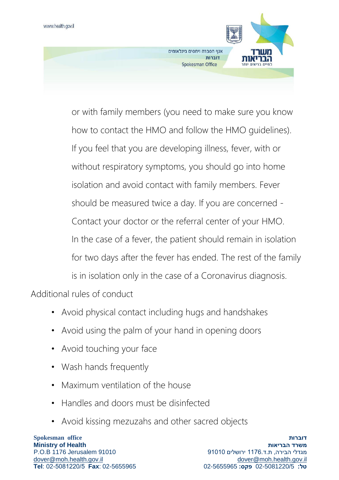

or with family members (you need to make sure you know how to contact the HMO and follow the HMO guidelines). If you feel that you are developing illness, fever, with or without respiratory symptoms, you should go into home isolation and avoid contact with family members. Fever should be measured twice a day. If you are concerned - Contact your doctor or the referral center of your HMO. In the case of a fever, the patient should remain in isolation for two days after the fever has ended. The rest of the family is in isolation only in the case of a Coronavirus diagnosis.

Additional rules of conduct

- Avoid physical contact including hugs and handshakes
- Avoid using the palm of your hand in opening doors
- Avoid touching your face
- Wash hands frequently
- Maximum ventilation of the house
- Handles and doors must be disinfected
- Avoid kissing mezuzahs and other sacred objects

**Spokesman office Ministry of Health** P.O.B 1176 Jerusalem 91010 [dover@moh.health.gov.il](mailto:sar@moh.health.gov.il) **Tel**: 02-5081220/5 **Fax**: 02-5655965

**דוברות משרד הבריאות** מגדלי הבירה, ת.ד1176. ירושלים 91010 [dover@moh.health.gov.il](mailto:sar@moh.health.gov.il) **טל:** 02-5081220/5 **פקס:** 02-5655965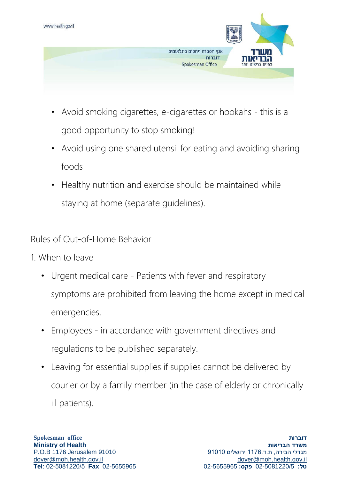

- Avoid smoking cigarettes, e-cigarettes or hookahs this is a good opportunity to stop smoking!
- Avoid using one shared utensil for eating and avoiding sharing foods
- Healthy nutrition and exercise should be maintained while staying at home (separate guidelines).

Rules of Out-of-Home Behavior

- 1. When to leave
	- Urgent medical care Patients with fever and respiratory symptoms are prohibited from leaving the home except in medical emergencies.
	- Employees in accordance with government directives and regulations to be published separately.
	- Leaving for essential supplies if supplies cannot be delivered by courier or by a family member (in the case of elderly or chronically ill patients).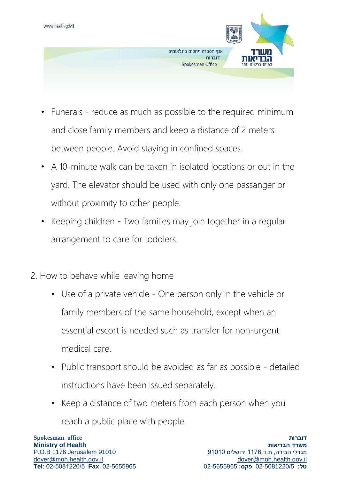

- Funerals reduce as much as possible to the required minimum and close family members and keep a distance of 2 meters between people. Avoid staying in confined spaces.
- A 10-minute walk can be taken in isolated locations or out in the yard. The elevator should be used with only one passanger or without proximity to other people.
- Keeping children Two families may join together in a regular arrangement to care for toddlers.
- 2. How to behave while leaving home
	- Use of a private vehicle One person only in the vehicle or family members of the same household, except when an essential escort is needed such as transfer for non-urgent medical care.
	- Public transport should be avoided as far as possible detailed instructions have been issued separately.
	- Keep a distance of two meters from each person when you reach a public place with people.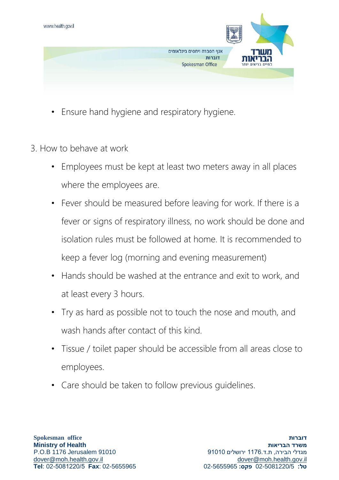

- Ensure hand hygiene and respiratory hygiene.
- 3. How to behave at work
	- Employees must be kept at least two meters away in all places where the employees are.
	- Fever should be measured before leaving for work. If there is a fever or signs of respiratory illness, no work should be done and isolation rules must be followed at home. It is recommended to keep a fever log (morning and evening measurement)
	- Hands should be washed at the entrance and exit to work, and at least every 3 hours.
	- Try as hard as possible not to touch the nose and mouth, and wash hands after contact of this kind.
	- Tissue / toilet paper should be accessible from all areas close to employees.
	- Care should be taken to follow previous guidelines.